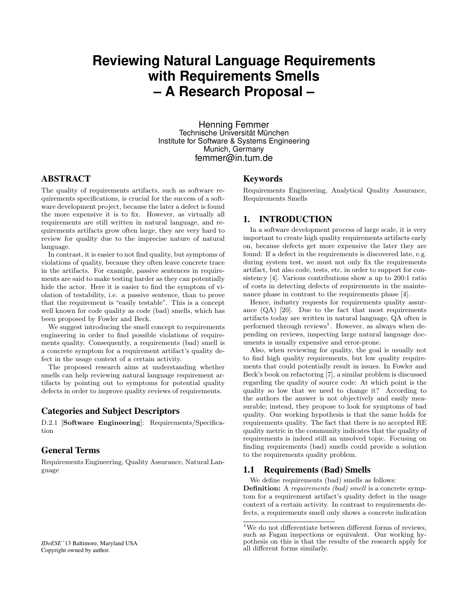# **Reviewing Natural Language Requirements with Requirements Smells – A Research Proposal –**

Henning Femmer Technische Universität München Institute for Software & Systems Engineering Munich, Germany femmer@in.tum.de

# ABSTRACT

The quality of requirements artifacts, such as software requirements specifications, is crucial for the success of a software development project, because the later a defect is found the more expensive it is to fix. However, as virtually all requirements are still written in natural language, and requirements artifacts grow often large, they are very hard to review for quality due to the imprecise nature of natural language.

In contrast, it is easier to not find quality, but symptoms of violations of quality, because they often leave concrete trace in the artifacts. For example, passive sentences in requirements are said to make testing harder as they can potentially hide the actor. Here it is easier to find the symptom of violation of testability, i.e. a passive sentence, than to prove that the requirement is "easily testable". This is a concept well known for code quality as code (bad) smells, which has been proposed by Fowler and Beck.

We suggest introducing the smell concept to requirements engineering in order to find possible violations of requirements quality. Consequently, a requirements (bad) smell is a concrete symptom for a requirement artifact's quality defect in the usage context of a certain activity.

The proposed research aims at understanding whether smells can help reviewing natural language requirement artifacts by pointing out to symptoms for potential quality defects in order to improve quality reviews of requirements.

## Categories and Subject Descriptors

D.2.1 [Software Engineering]: Requirements/Specification

## General Terms

Requirements Engineering, Quality Assurance, Natural Language

#### Keywords

Requirements Engineering, Analytical Quality Assurance, Requirements Smells

# 1. INTRODUCTION

In a software development process of large scale, it is very important to create high quality requirements artifacts early on, because defects get more expensive the later they are found: If a defect in the requirements is discovered late, e.g. during system test, we must not only fix the requirements artifact, but also code, tests, etc. in order to support for consistency [4]. Various contributions show a up to 200:1 ratio of costs in detecting defects of requirements in the maintenance phase in contrast to the requirements phase [4].

Hence, industry requests for requirements quality assurance  $(QA)$  [20]. Due to the fact that most requirements artifacts today are written in natural language, QA often is performed through reviews<sup>1</sup>. However, as always when depending on reviews, inspecting large natural language documents is usually expensive and error-prone.

Also, when reviewing for quality, the goal is usually not to find high quality requirements, but low quality requirements that could potentially result in issues. In Fowler and Beck's book on refactoring [7], a similar problem is discussed regarding the quality of source code: At which point is the quality so low that we need to change it? According to the authors the answer is not objectively and easily measurable; instead, they propose to look for symptoms of bad quality. Our working hypothesis is that the same holds for requirements quality. The fact that there is no accepted RE quality metric in the community indicates that the quality of requirements is indeed still an unsolved topic. Focusing on finding requirements (bad) smells could provide a solution to the requirements quality problem.

#### 1.1 Requirements (Bad) Smells

We define requirements (bad) smells as follows:

Definition: A requirements (bad) smell is a concrete symptom for a requirement artifact's quality defect in the usage context of a certain activity. In contrast to requirements defects, a requirements smell only shows a concrete indication

 $^1\rm{We}$  do not differentiate between different forms of reviews, such as Fagan inspections or equivalent. Our working hypothesis on this is that the results of the research apply for all different forms similarly.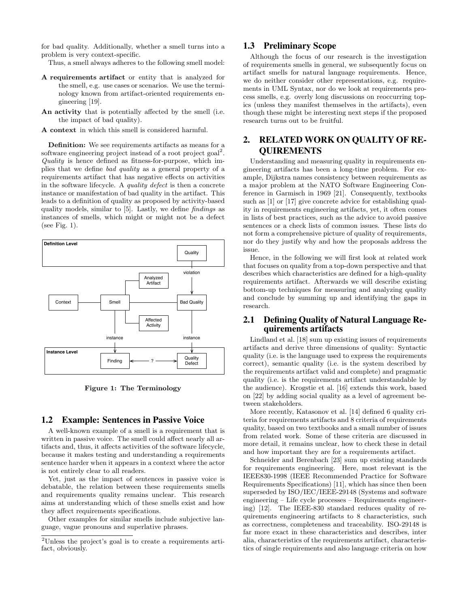for bad quality. Additionally, whether a smell turns into a problem is very context-specific.

Thus, a smell always adheres to the following smell model:

- A requirements artifact or entity that is analyzed for the smell, e.g. use cases or scenarios. We use the terminology known from artifact-oriented requirements engineering [19].
- An activity that is potentially affected by the smell (i.e. the impact of bad quality).
- A context in which this smell is considered harmful.

Definition: We see requirements artifacts as means for a software engineering project instead of a root project goal<sup>2</sup>. Quality is hence defined as fitness-for-purpose, which implies that we define bad quality as a general property of a requirements artifact that has negative effects on activities in the software lifecycle. A quality defect is then a concrete instance or manifestation of bad quality in the artifact. This leads to a definition of quality as proposed by activity-based quality models, similar to [5]. Lastly, we define findings as instances of smells, which might or might not be a defect (see Fig. 1).



Figure 1: The Terminology

#### 1.2 Example: Sentences in Passive Voice

A well-known example of a smell is a requirement that is written in passive voice. The smell could affect nearly all artifacts and, thus, it affects activities of the software lifecycle, because it makes testing and understanding a requirements sentence harder when it appears in a context where the actor is not entirely clear to all readers.

Yet, just as the impact of sentences in passive voice is debatable, the relation between these requirements smells and requirements quality remains unclear. This research aims at understanding which of these smells exist and how they affect requirements specifications.

Other examples for similar smells include subjective language, vague pronouns and superlative phrases.

## 1.3 Preliminary Scope

Although the focus of our research is the investigation of requirements smells in general, we subsequently focus on artifact smells for natural language requirements. Hence, we do neither consider other representations, e.g. requirements in UML Syntax, nor do we look at requirements process smells, e.g. overly long discussions on reoccurring topics (unless they manifest themselves in the artifacts), even though these might be interesting next steps if the proposed research turns out to be fruitful.

# 2. RELATED WORK ON QUALITY OF RE-QUIREMENTS

Understanding and measuring quality in requirements engineering artifacts has been a long-time problem. For example, Dijkstra names consistency between requirements as a major problem at the NATO Software Engineering Conference in Garmisch in 1969 [21]. Consequently, textbooks such as [1] or [17] give concrete advice for establishing quality in requirements engineering artifacts, yet, it often comes in lists of best practices, such as the advice to avoid passive sentences or a check lists of common issues. These lists do not form a comprehensive picture of quality of requirements, nor do they justify why and how the proposals address the issue.

Hence, in the following we will first look at related work that focuses on quality from a top-down perspective and that describes which characteristics are defined for a high-quality requirements artifact. Afterwards we will describe existing bottom-up techniques for measuring and analyzing quality and conclude by summing up and identifying the gaps in research.

## 2.1 Defining Quality of Natural Language Requirements artifacts

Lindland et al. [18] sum up existing issues of requirements artifacts and derive three dimensions of quality: Syntactic quality (i.e. is the language used to express the requirements correct), semantic quality (i.e. is the system described by the requirements artifact valid and complete) and pragmatic quality (i.e. is the requirements artifact understandable by the audience). Krogstie et al. [16] extends this work, based on [22] by adding social quality as a level of agreement between stakeholders.

More recently, Katasonov et al. [14] defined 6 quality criteria for requirements artifacts and 8 criteria of requirements quality, based on two textbooks and a small number of issues from related work. Some of these criteria are discussed in more detail, it remains unclear, how to check these in detail and how important they are for a requirements artifact.

Schneider and Berenbach [23] sum up existing standards for requirements engineering. Here, most relevant is the IEEE830-1998 (IEEE Recommended Practice for Software Requirements Specifications) [11], which has since then been superseded by ISO/IEC/IEEE-29148 (Systems and software engineering – Life cycle processes – Requirements engineering) [12]. The IEEE-830 standard reduces quality of requirements engineering artifacts to 8 characteristics, such as correctness, completeness and traceability. ISO-29148 is far more exact in these characteristics and describes, inter alia, characteristics of the requirements artifact, characteristics of single requirements and also language criteria on how

<sup>2</sup>Unless the project's goal is to create a requirements artifact, obviously.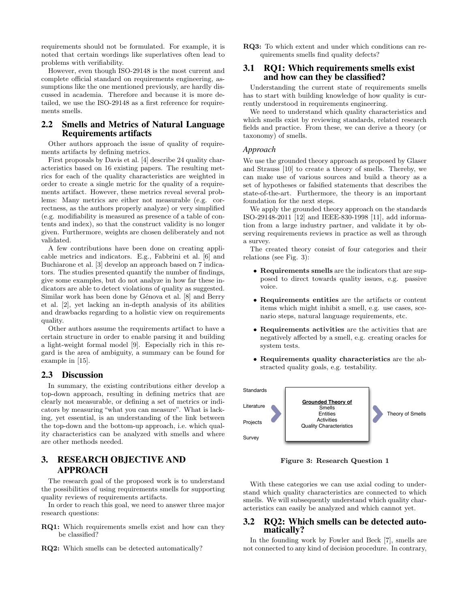requirements should not be formulated. For example, it is noted that certain wordings like superlatives often lead to problems with verifiability.

However, even though ISO-29148 is the most current and complete official standard on requirements engineering, assumptions like the one mentioned previously, are hardly discussed in academia. Therefore and because it is more detailed, we use the ISO-29148 as a first reference for requirements smells.

## 2.2 Smells and Metrics of Natural Language Requirements artifacts

Other authors approach the issue of quality of requirements artifacts by defining metrics.

First proposals by Davis et al. [4] describe 24 quality characteristics based on 16 existing papers. The resulting metrics for each of the quality characteristics are weighted in order to create a single metric for the quality of a requirements artifact. However, these metrics reveal several problems: Many metrics are either not measurable (e.g. correctness, as the authors properly analyze) or very simplified (e.g. modifiability is measured as presence of a table of contents and index), so that the construct validity is no longer given. Furthermore, weights are chosen deliberately and not validated.

A few contributions have been done on creating applicable metrics and indicators. E.g., Fabbrini et al. [6] and Buchiarone et al. [3] develop an approach based on 7 indicators. The studies presented quantify the number of findings, give some examples, but do not analyze in how far these indicators are able to detect violations of quality as suggested. Similar work has been done by Génova et al. [8] and Berry et al. [2], yet lacking an in-depth analysis of its abilities and drawbacks regarding to a holistic view on requirements quality.

Other authors assume the requirements artifact to have a certain structure in order to enable parsing it and building a light-weight formal model [9]. Especially rich in this regard is the area of ambiguity, a summary can be found for example in [15].

## 2.3 Discussion

In summary, the existing contributions either develop a top-down approach, resulting in defining metrics that are clearly not measurable, or defining a set of metrics or indicators by measuring "what you can measure". What is lacking, yet essential, is an understanding of the link between the top-down and the bottom-up approach, i.e. which quality characteristics can be analyzed with smells and where are other methods needed.

# 3. RESEARCH OBJECTIVE AND APPROACH

The research goal of the proposed work is to understand the possibilities of using requirements smells for supporting quality reviews of requirements artifacts.

In order to reach this goal, we need to answer three major research questions:

- RQ1: Which requirements smells exist and how can they be classified?
- RQ2: Which smells can be detected automatically?

RQ3: To which extent and under which conditions can requirements smells find quality defects?

## 3.1 RQ1: Which requirements smells exist and how can they be classified?

Understanding the current state of requirements smells has to start with building knowledge of how quality is currently understood in requirements engineering.

We need to understand which quality characteristics and which smells exist by reviewing standards, related research fields and practice. From these, we can derive a theory (or taxonomy) of smells.

#### *Approach*

We use the grounded theory approach as proposed by Glaser and Strauss [10] to create a theory of smells. Thereby, we can make use of various sources and build a theory as a set of hypotheses or falsified statements that describes the state-of-the-art. Furthermore, the theory is an important foundation for the next steps.

We apply the grounded theory approach on the standards ISO-29148-2011 [12] and IEEE-830-1998 [11], add information from a large industry partner, and validate it by observing requirements reviews in practice as well as through a survey.

The created theory consist of four categories and their relations (see Fig. 3):

- Requirements smells are the indicators that are supposed to direct towards quality issues, e.g. passive voice.
- Requirements entities are the artifacts or content items which might inhibit a smell, e.g. use cases, scenario steps, natural language requirements, etc.
- Requirements activities are the activities that are negatively affected by a smell, e.g. creating oracles for system tests.
- Requirements quality characteristics are the abstracted quality goals, e.g. testability.



Figure 3: Research Question 1

With these categories we can use axial coding to understand which quality characteristics are connected to which smells. We will subsequently understand which quality characteristics can easily be analyzed and which cannot yet.

## 3.2 RQ2: Which smells can be detected automatically?

In the founding work by Fowler and Beck [7], smells are not connected to any kind of decision procedure. In contrary,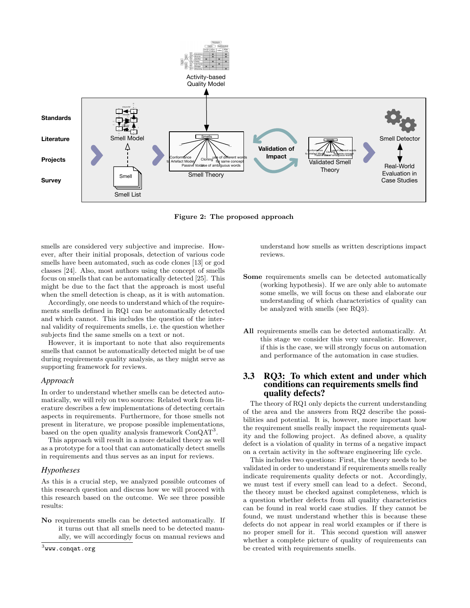

Figure 2: The proposed approach

smells are considered very subjective and imprecise. However, after their initial proposals, detection of various code smells have been automated, such as code clones [13] or god classes [24]. Also, most authors using the concept of smells focus on smells that can be automatically detected [25]. This might be due to the fact that the approach is most useful when the smell detection is cheap, as it is with automation.

Accordingly, one needs to understand which of the requirements smells defined in RQ1 can be automatically detected and which cannot. This includes the question of the internal validity of requirements smells, i.e. the question whether subjects find the same smells on a text or not.

However, it is important to note that also requirements smells that cannot be automatically detected might be of use during requirements quality analysis, as they might serve as supporting framework for reviews.

#### *Approach*

In order to understand whether smells can be detected automatically, we will rely on two sources: Related work from literature describes a few implementations of detecting certain aspects in requirements. Furthermore, for those smells not present in literature, we propose possible implementations, based on the open quality analysis framework ConQAT<sup>3</sup>.

This approach will result in a more detailed theory as well as a prototype for a tool that can automatically detect smells in requirements and thus serves as an input for reviews.

#### *Hypotheses*

As this is a crucial step, we analyzed possible outcomes of this research question and discuss how we will proceed with this research based on the outcome. We see three possible results:

No requirements smells can be detected automatically. If it turns out that all smells need to be detected manually, we will accordingly focus on manual reviews and

 $^3$ www.conqat.org

understand how smells as written descriptions impact reviews.

- Some requirements smells can be detected automatically (working hypothesis). If we are only able to automate some smells, we will focus on these and elaborate our understanding of which characteristics of quality can be analyzed with smells (see RQ3).
- All requirements smells can be detected automatically. At this stage we consider this very unrealistic. However, if this is the case, we will strongly focus on automation and performance of the automation in case studies.

## 3.3 RQ3: To which extent and under which conditions can requirements smells find quality defects?

The theory of RQ1 only depicts the current understanding of the area and the answers from RQ2 describe the possibilities and potential. It is, however, more important how the requirement smells really impact the requirements quality and the following project. As defined above, a quality defect is a violation of quality in terms of a negative impact on a certain activity in the software engineering life cycle.

This includes two questions: First, the theory needs to be validated in order to understand if requirements smells really indicate requirements quality defects or not. Accordingly, we must test if every smell can lead to a defect. Second, the theory must be checked against completeness, which is a question whether defects from all quality characteristics can be found in real world case studies. If they cannot be found, we must understand whether this is because these defects do not appear in real world examples or if there is no proper smell for it. This second question will answer whether a complete picture of quality of requirements can be created with requirements smells.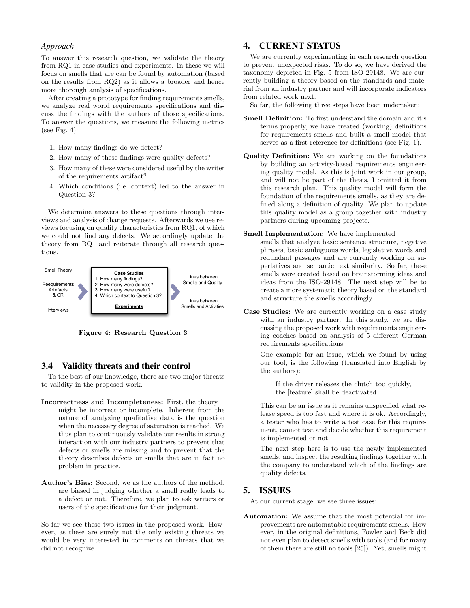#### *Approach*

To answer this research question, we validate the theory from RQ1 in case studies and experiments. In these we will focus on smells that are can be found by automation (based on the results from RQ2) as it allows a broader and hence more thorough analysis of specifications.

After creating a prototype for finding requirements smells, we analyze real world requirements specifications and discuss the findings with the authors of those specifications. To answer the questions, we measure the following metrics (see Fig. 4):

- 1. How many findings do we detect?
- 2. How many of these findings were quality defects?
- 3. How many of these were considered useful by the writer of the requirements artifact?
- 4. Which conditions (i.e. context) led to the answer in Question 3?

We determine answers to these questions through interviews and analysis of change requests. Afterwards we use reviews focusing on quality characteristics from RQ1, of which we could not find any defects. We accordingly update the theory from RQ1 and reiterate through all research questions.



Figure 4: Research Question 3

### 3.4 Validity threats and their control

To the best of our knowledge, there are two major threats to validity in the proposed work.

- Incorrectness and Incompleteness: First, the theory might be incorrect or incomplete. Inherent from the nature of analyzing qualitative data is the question when the necessary degree of saturation is reached. We thus plan to continuously validate our results in strong interaction with our industry partners to prevent that defects or smells are missing and to prevent that the theory describes defects or smells that are in fact no problem in practice.
- Author's Bias: Second, we as the authors of the method, are biased in judging whether a smell really leads to a defect or not. Therefore, we plan to ask writers or users of the specifications for their judgment.

So far we see these two issues in the proposed work. However, as these are surely not the only existing threats we would be very interested in comments on threats that we did not recognize.

# 4. CURRENT STATUS

We are currently experimenting in each research question to prevent unexpected risks. To do so, we have derived the taxonomy depicted in Fig. 5 from ISO-29148. We are currently building a theory based on the standards and material from an industry partner and will incorporate indicators from related work next.

So far, the following three steps have been undertaken:

- Smell Definition: To first understand the domain and it's terms properly, we have created (working) definitions for requirements smells and built a smell model that serves as a first reference for definitions (see Fig. 1).
- Quality Definition: We are working on the foundations by building an activity-based requirements engineering quality model. As this is joint work in our group, and will not be part of the thesis, I omitted it from this research plan. This quality model will form the foundation of the requirements smells, as they are defined along a definition of quality. We plan to update this quality model as a group together with industry partners during upcoming projects.

#### Smell Implementation: We have implemented

smells that analyze basic sentence structure, negative phrases, basic ambiguous words, legislative words and redundant passages and are currently working on superlatives and semantic text similarity. So far, these smells were created based on brainstorming ideas and ideas from the ISO-29148. The next step will be to create a more systematic theory based on the standard and structure the smells accordingly.

Case Studies: We are currently working on a case study with an industry partner. In this study, we are discussing the proposed work with requirements engineering coaches based on analysis of 5 different German requirements specifications.

One example for an issue, which we found by using our tool, is the following (translated into English by the authors):

If the driver releases the clutch too quickly, the [feature] shall be deactivated.

This can be an issue as it remains unspecified what release speed is too fast and where it is ok. Accordingly, a tester who has to write a test case for this requirement, cannot test and decide whether this requirement is implemented or not.

The next step here is to use the newly implemented smells, and inspect the resulting findings together with the company to understand which of the findings are quality defects.

## 5. ISSUES

At our current stage, we see three issues:

Automation: We assume that the most potential for improvements are automatable requirements smells. However, in the original definitions, Fowler and Beck did not even plan to detect smells with tools (and for many of them there are still no tools [25]). Yet, smells might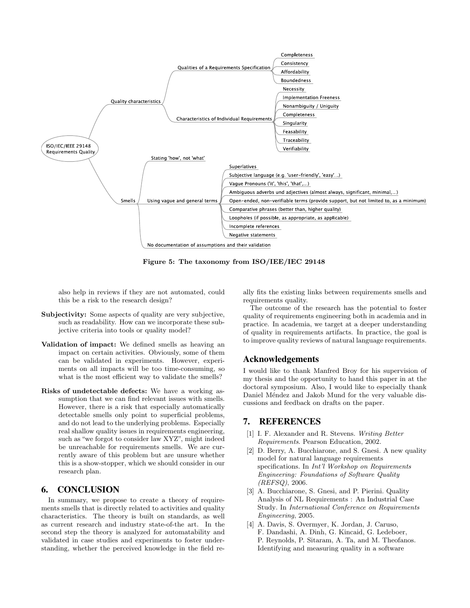

Figure 5: The taxonomy from ISO/IEE/IEC 29148

also help in reviews if they are not automated, could this be a risk to the research design?

- Subjectivity: Some aspects of quality are very subjective, such as readability. How can we incorporate these subjective criteria into tools or quality model?
- Validation of impact: We defined smells as heaving an impact on certain activities. Obviously, some of them can be validated in experiments. However, experiments on all impacts will be too time-consuming, so what is the most efficient way to validate the smells?
- Risks of undetectable defects: We have a working assumption that we can find relevant issues with smells. However, there is a risk that especially automatically detectable smells only point to superficial problems, and do not lead to the underlying problems. Especially real shallow quality issues in requirements engineering, such as "we forgot to consider law XYZ", might indeed be unreachable for requirements smells. We are currently aware of this problem but are unsure whether this is a show-stopper, which we should consider in our research plan.

# 6. CONCLUSION

In summary, we propose to create a theory of requirements smells that is directly related to activities and quality characteristics. The theory is built on standards, as well as current research and industry state-of-the art. In the second step the theory is analyzed for automatability and validated in case studies and experiments to foster understanding, whether the perceived knowledge in the field really fits the existing links between requirements smells and requirements quality.

The outcome of the research has the potential to foster quality of requirements engineering both in academia and in practice. In academia, we target at a deeper understanding of quality in requirements artifacts. In practice, the goal is to improve quality reviews of natural language requirements.

## Acknowledgements

I would like to thank Manfred Broy for his supervision of my thesis and the opportunity to hand this paper in at the doctoral symposium. Also, I would like to especially thank Daniel Méndez and Jakob Mund for the very valuable discussions and feedback on drafts on the paper.

## 7. REFERENCES

- [1] I. F. Alexander and R. Stevens. Writing Better Requirements. Pearson Education, 2002.
- [2] D. Berry, A. Bucchiarone, and S. Gnesi. A new quality model for natural language requirements specifications. In *Int'l Workshop on Requirements* Engineering: Foundations of Software Quality (REFSQ), 2006.
- [3] A. Bucchiarone, S. Gnesi, and P. Pierini. Quality Analysis of NL Requirements : An Industrial Case Study. In International Conference on Requirements Engineering, 2005.
- [4] A. Davis, S. Overmyer, K. Jordan, J. Caruso, F. Dandashi, A. Dinh, G. Kincaid, G. Ledeboer, P. Reynolds, P. Sitaram, A. Ta, and M. Theofanos. Identifying and measuring quality in a software